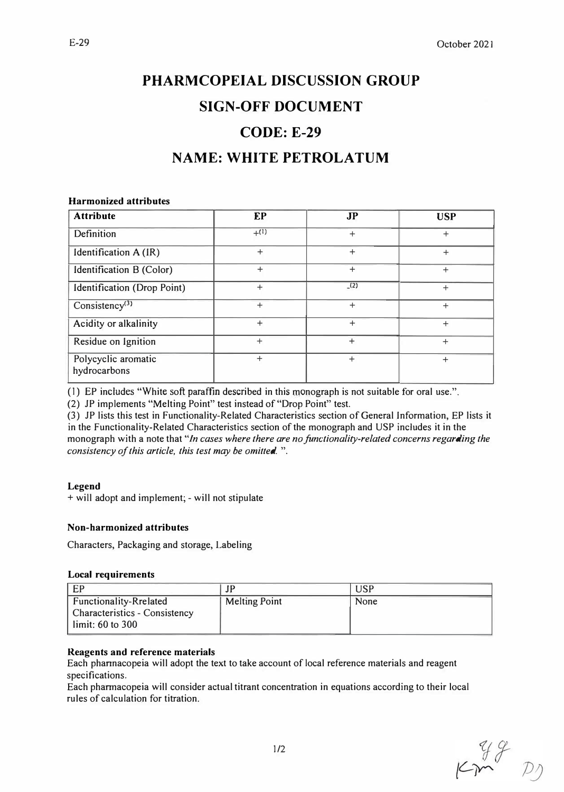# **PHARMCOPEIAL DISCUSSION GROUP SIGN-OFF DOCUMENT CODE: E-29**

## **NAME: WHITE PETROLATUM**

#### **Harmonized attributes**

| <b>Attribute</b>                    | EP        | J <sub>P</sub> | <b>USP</b> |
|-------------------------------------|-----------|----------------|------------|
| Definition                          | $+^{(1)}$ | $+$            | $^{+}$     |
| Identification A (IR)               | $+$       | $+$            | $^{+}$     |
| Identification B (Color)            | $+$       | $\ddot{}$      | $+$        |
| Identification (Drop Point)         | $\ddot{}$ | (2)            | $^{+}$     |
| Consistency <sup>(3)</sup>          | $+$       | $\ddot{}$      | $^{+}$     |
| Acidity or alkalinity               | $\ddot{}$ | $\ddot{}$      | $\ddot{}$  |
| Residue on Ignition                 | $^{+}$    | $\ddot{}$      | $+$        |
| Polycyclic aromatic<br>hydrocarbons | $\ddot{}$ | $\ddot{}$      | $\ddot{}$  |

{l) EP includes "White soft paraffin described in this monograph is not suitable for oral use.".

(2) JP implements "Melting Point" test instead of "Drop Point" test.

(3) JP lists this test in Functionality-Related Characteristics section of General Information, EP lists it in the Functionality-Related Characteristics section of the monograph and USP includes it in the monograph with a note that "In cases where there are no functionality-related concerns regarding the *consistency of this article, this test may be omilled.* ".

#### **Legend**

+ will adopt and implement; - will not stipulate

#### **Non-harmonized attributes**

Characters, Packaging and storage, Labeling

#### **Local requirements**

| EP                                                                                        | JP                   | JSP  |
|-------------------------------------------------------------------------------------------|----------------------|------|
| <b>Functionality-Rrelated</b><br><b>Characteristics - Consistency</b><br>limit: 60 to 300 | <b>Melting Point</b> | None |

#### **Reagents and reference materials**

Each phannacopeia will adopt the text to take account of local reference materials and reagent specifications.

Each phannacopeia will consider actual titrant concentration in equations according to their local rules of calculation for titration.

 $km^{99}$  P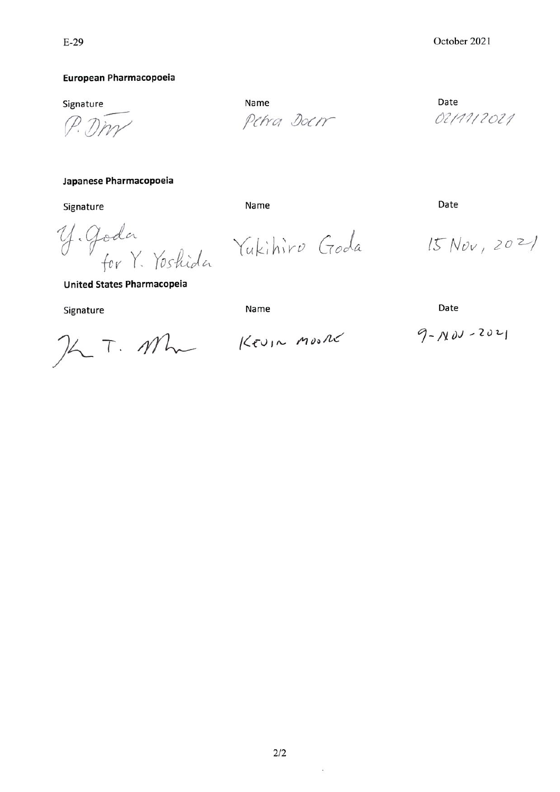#### European Pharmacopoeia

Signature

P. Dm

Japanese Pharmacopoeia

Signature

Y. Goda<br>for Y. Yoshida Yukihiro Goda

Name Petra Doen

Date 02/11/2021

Date

 $15 Nov, 2021$ 

**United States Pharmacopeia** 

Signature

Name

Name

Date

 $26T.11$ 

KEUIN MOORE

 $9 - N01 - 2021$ 

 $\mathcal{L}$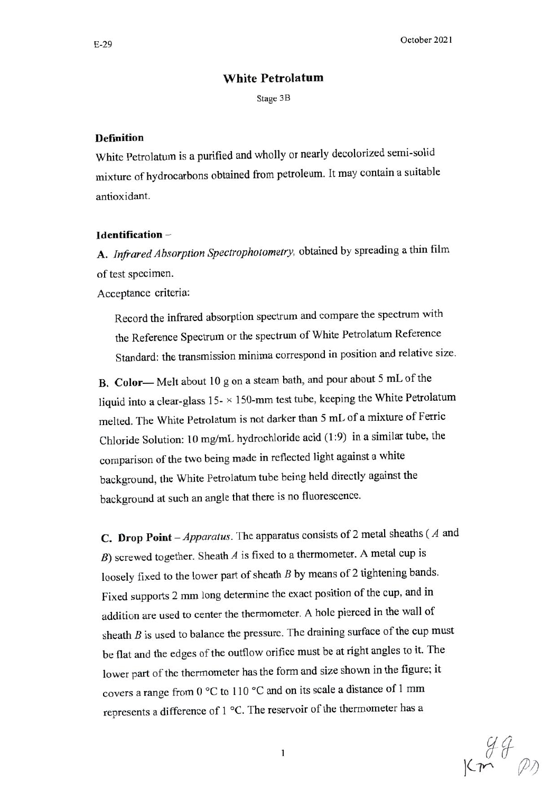### **White Petrolatum**

Stage 3B

#### **Definition**

White Petrolatum is a purified and wholly or nearly decolorized semi-solid mixture of hydrocarbons obtained from petroleum. It may contain a suitable antioxidant.

#### Identification-

A. Infrared Absorption Spectrophotometry, obtained by spreading a thin film of test specimen.

Acceptance criteria:

Record the infrared absorption spectrum and compare the spectrum with the Reference Spectrum or the spectrum of White Petrolatum Reference Standard: the transmission minima correspond in position and relative size.

B. Color—Melt about 10 g on a steam bath, and pour about 5 mL of the liquid into a clear-glass  $15- \times 150$ -mm test tube, keeping the White Petrolatum melted. The White Petrolatum is not darker than 5 mL of a mixture of Ferric Chloride Solution: 10 mg/mL hydrochloride acid (1:9) in a similar tube, the comparison of the two being made in reflected light against a white background, the White Petrolatum tube being held directly against the background at such an angle that there is no fluorescence.

C. Drop Point - Apparatus. The apparatus consists of 2 metal sheaths ( $A$  and B) screwed together. Sheath  $A$  is fixed to a thermometer. A metal cup is loosely fixed to the lower part of sheath  $B$  by means of 2 tightening bands. Fixed supports 2 mm long determine the exact position of the cup, and in addition are used to center the thermometer. A hole pierced in the wall of sheath  $B$  is used to balance the pressure. The draining surface of the cup must be flat and the edges of the outflow orifice must be at right angles to it. The lower part of the thermometer has the form and size shown in the figure; it covers a range from 0 °C to 110 °C and on its scale a distance of 1 mm represents a difference of 1 °C. The reservoir of the thermometer has a

 $km^{\frac{94}{9}}$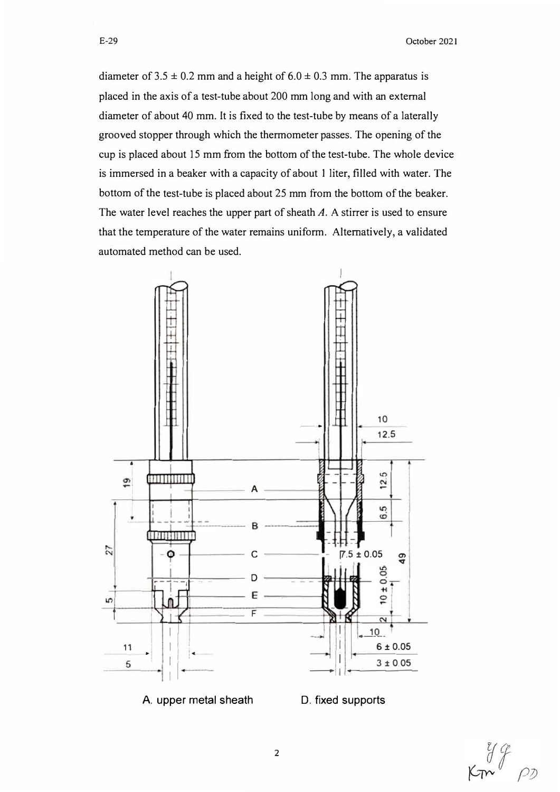diameter of  $3.5 \pm 0.2$  mm and a height of  $6.0 \pm 0.3$  mm. The apparatus is placed in the axis of a test-tube about 200 mm long and with an external diameter of about 40 mm. It is fixed to the test-tube by means of a laterally grooved stopper through which the thermometer passes. The opening of the cup is placed about 15 mm from the bottom of the test-tube. The whole device is immersed in a beaker with a capacity of about 1 liter, filled with water. The bottom of the test-tube is placed about 25 mm from the bottom of the beaker. The water level reaches the upper part of sheath  $A$ . A stirrer is used to ensure that the temperature of the water remains uniform. Alternatively, a validated automated method can be used.



 $\overline{2}$ 

A. upper metal sheath

D. fixed supports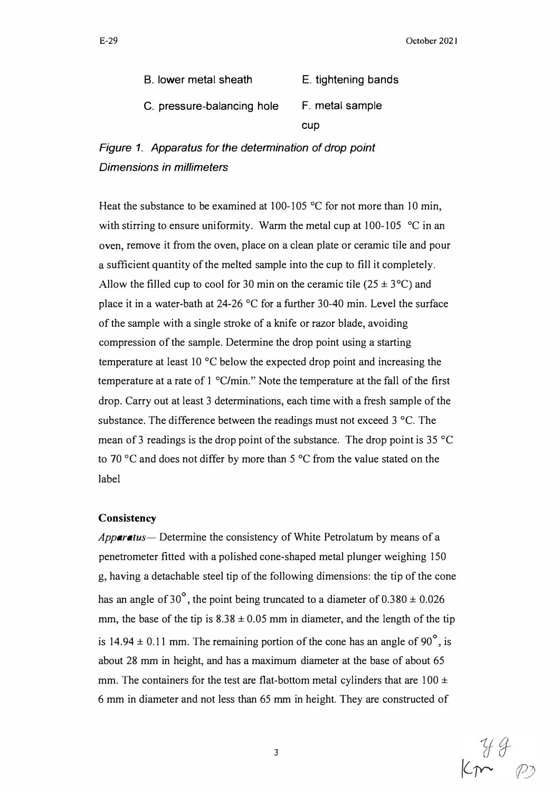| B. lower metal sheath      | E. tightening bands |  |
|----------------------------|---------------------|--|
| C. pressure-balancing hole | F. metal sample     |  |
|                            | cup                 |  |

*Figure 1. Apparatus for the determination of drop point Dimensions in millimeters* 

Heat the substance to be examined at 100-105  $\degree$ C for not more than 10 min, with stirring to ensure uniformity. Warm the metal cup at 100-105 °C in an oven, remove it from the oven, place on a clean plate or ceramic tile and pour a sufficient quantity of the melted sample into the cup to fill it completely. Allow the filled cup to cool for 30 min on the ceramic tile  $(25 \pm 3^{\circ}C)$  and place it in a water-bath at 24-26 °C for a further 30-40 min. Level the surface of the sample with a single stroke of a knife or razor blade, avoiding compression of the sample. Determine the drop point using a starting temperature at least 10 °C below the expected drop point and increasing the temperature at a rate of 1 °C/min." Note the temperature at the fall of the first drop. Carry out at least 3 determinations, each time with a fresh sample of the substance. The difference between the readings must not exceed 3 °C. The mean of 3 readings is the drop point of the substance. The drop point is  $35 \text{°C}$ to 70 °C and does not differ by more than 5 °C from the value stated on the label

#### **Consistency**

*Apparatus-* Determine the consistency of White Petrolatum by means of a penetrometer fitted with a polished cone-shaped metal plunger weighing 150 g, having a detachable steel tip of the following dimensions: the tip of the cone has an angle of 30°, the point being truncated to a diameter of  $0.380 \pm 0.026$ mm, the base of the tip is  $8.38 \pm 0.05$  mm in diameter, and the length of the tip is 14.94  $\pm$  0.11 mm. The remaining portion of the cone has an angle of 90<sup>°</sup>, is about 28 mm in height, and has a maximum diameter at the base of about 65 mm. The containers for the test are flat-bottom metal cylinders that are  $100 \pm$ 6 mm in diameter and not less than 65 mm in height. They are constructed of

3

 $44$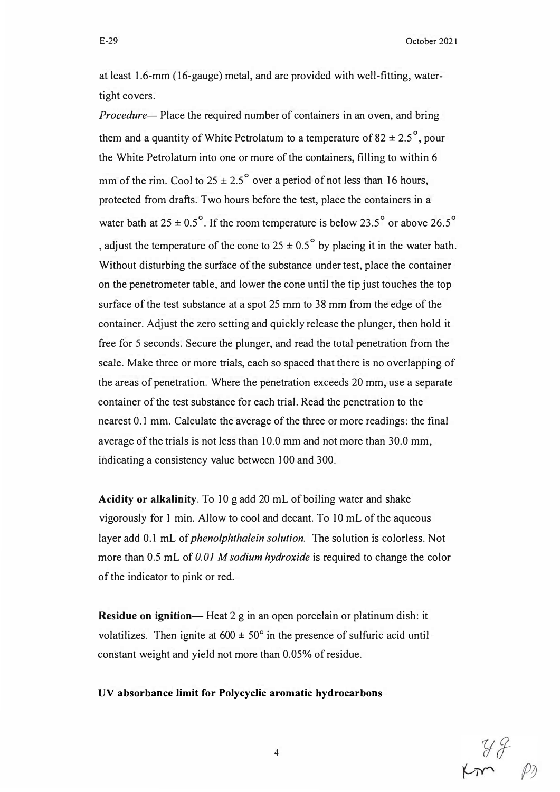at least 1.6-mm (16-gauge) metal, and are provided with well-fitting, watertight covers.

*Procedure-* Place the required number of containers in an oven, and bring them and a quantity of White Petrolatum to a temperature of 82  $\pm$  2.5<sup>°</sup>, pour the White Petrolatum into one or more of the containers, filling to within 6 mm of the rim. Cool to  $25 \pm 2.5^{\circ}$  over a period of not less than 16 hours, protected from drafts. Two hours before the test, place the containers in a water bath at  $25 \pm 0.5^{\circ}$ . If the room temperature is below 23.5° or above 26.5° , adjust the temperature of the cone to  $25 \pm 0.5^{\circ}$  by placing it in the water bath. Without disturbing the surface of the substance under test, place the container on the penetrometer table, and lower the cone until the tip just touches the top surface of the test substance at a spot 25 mm to 38 mm from the edge of the container. Adjust the zero setting and quickly release the plunger, then hold it free for 5 seconds. Secure the plunger, and read the total penetration from the scale. Make three or more trials, each so spaced that there is no overlapping of the areas of penetration. Where the penetration exceeds 20 mm, use a separate container of the test substance for each trial. Read the penetration to the nearest 0.1 mm. Calculate the average of the three or more readings: the final average of the trials is not less than 10.0 mm and not more than 30.0 mm, indicating a consistency value between 100 and 300.

**Acidity or alkalinity.** To 10 g add 20 mL of boiling water and shake vigorously for 1 min. Allow to cool and decant. To 10 mL of the aqueous layer add 0.1 mL of *phenolphthalein solution.* The solution is colorless. Not more than 0.5 mL of 0.01 M sodium hydroxide is required to change the color of the indicator to pink or red.

**Residue on ignition-** Heat 2 g in an open porcelain or platinum dish: it volatilizes. Then ignite at  $600 \pm 50^{\circ}$  in the presence of sulfuric acid until constant weight and yield not more than 0.05% of residue.

**UV absorbance limit for Polycyclic aromatic hydrocarbons** 

 $rac{y}{2}$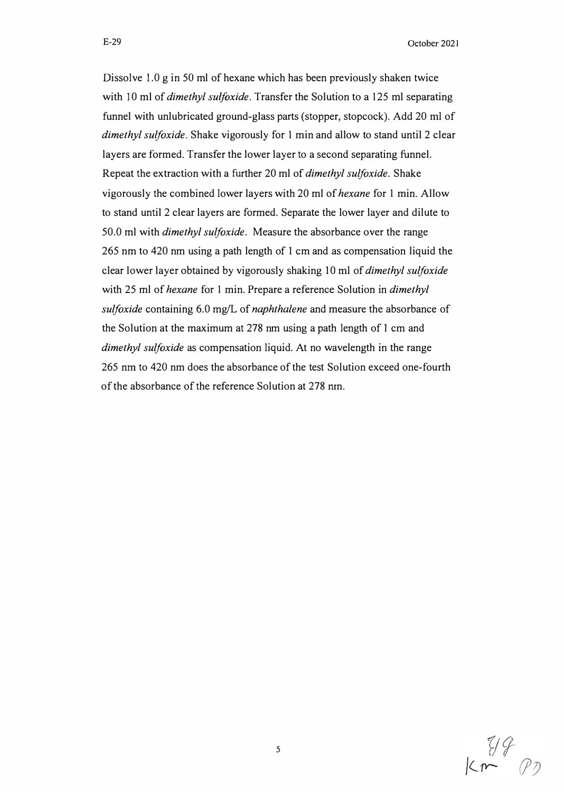E-29 October 2021

Dissolve 1.0 g in 50 ml of hexane which has been previously shaken twice with 10 ml of *dimethyl sulfoxide*. Transfer the Solution to a 125 ml separating funnel with unlubricated ground-glass parts (stopper, stopcock). Add 20 *ml* of *dimethyl sulfoxide.* Shake vigorously for 1 min and allow to stand until 2 clear layers are formed. Transfer the lower layer to a second separating funnel. Repeat the extraction with a further 20 ml of *dimethyl sulfoxide.* Shake vigorously the combined lower layers with 20 ml of *hexane* for 1 min. Allow to stand until 2 clear layers are formed. Separate the lower layer and dilute to 50.0 ml with *dimethyl sulfoxide.* Measure the absorbance over the range 265 nm to 420 nm using a path length of I cm and as compensation liquid the clear lower layer obtained by vigorously shaking I O *ml* of *dimethyl sulfoxide*  with 25 ml of *hexane* for 1 min. Prepare a reference Solution in *dimethyl sulfoxide* containing 6.0 mg/L of *naphthalene* and measure the absorbance of the Solution at the maximum at 278 nm using a path length of I cm and *dimethyl sulfoxide* as compensation liquid. At no wavelength in the range 265 nm to 420 nm does the absorbance of the test Solution exceed one-fourth

of the absorbance of the reference Solution at 278 nm.

*5* 

 $K_{m}^{1/2}$